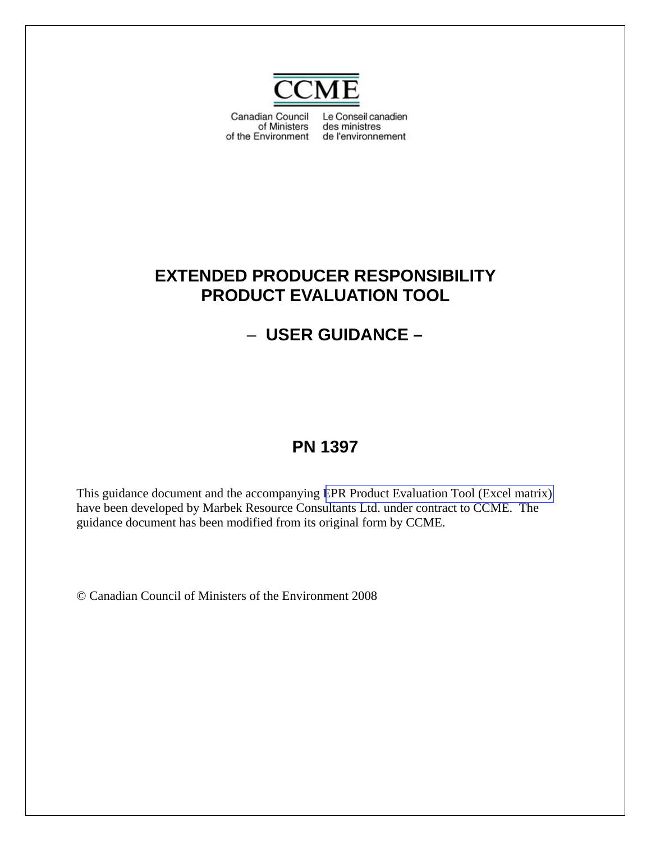

Canadian Council Le Conseil canadien of Ministers des ministres of the Environment de l'environnement

# **EXTENDED PRODUCER RESPONSIBILITY PRODUCT EVALUATION TOOL**

# – **USER GUIDANCE –**

# **PN 1397**

This guidance document and the accompanying EPR Product Evaluation Tool (Excel matrix) have been developed by Marbek Resource Consultants Ltd. under contract to CCME. The guidance document has been modified from its original form by CCME.

© Canadian Council of Ministers of the Environment 2008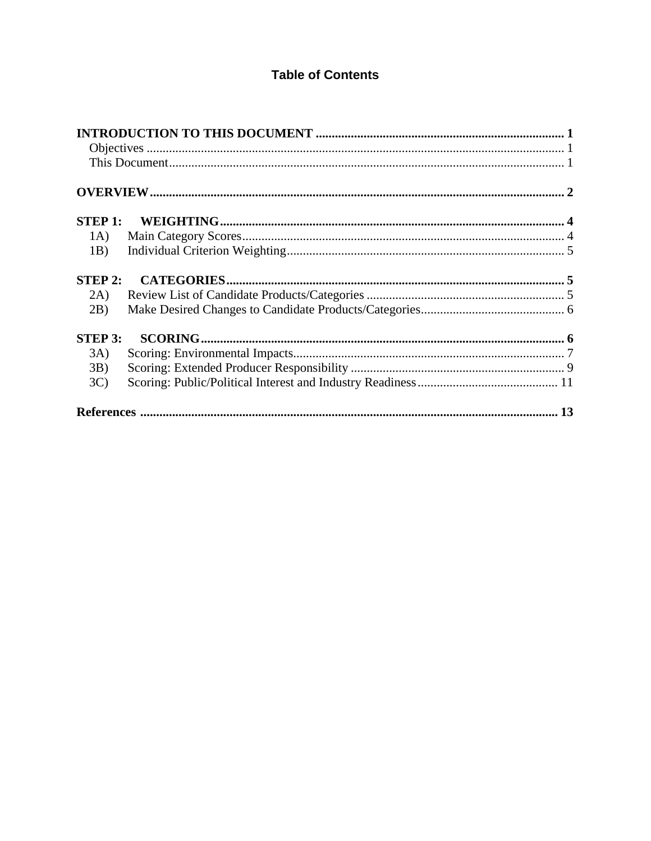# **Table of Contents**

| (A)              |  |
|------------------|--|
| 1 <sub>B</sub> ) |  |
| <b>STEP 2:</b>   |  |
| 2A)              |  |
| 2B)              |  |
| <b>STEP 3:</b>   |  |
| 3A)              |  |
| 3B)              |  |
| 3C               |  |
|                  |  |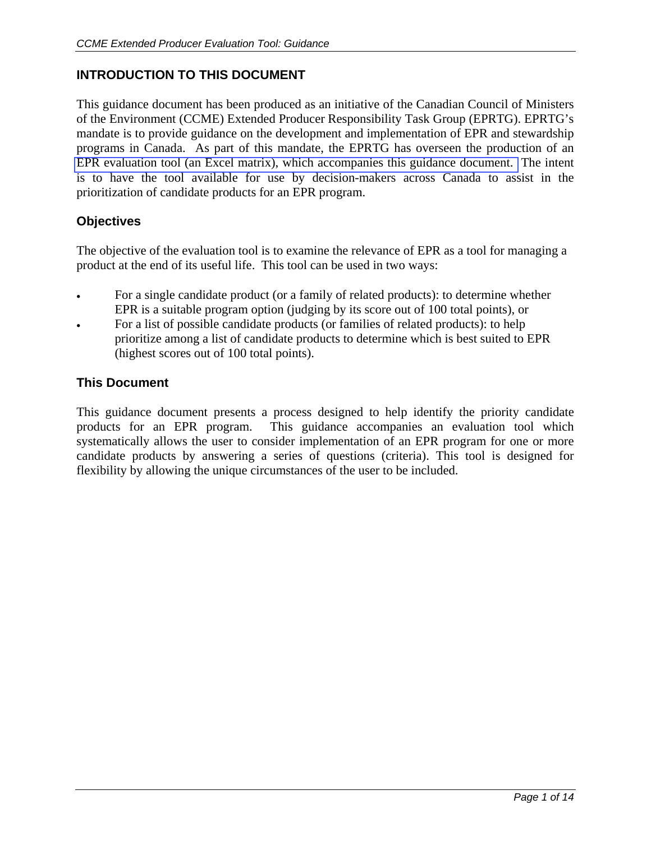# **INTRODUCTION TO THIS DOCUMENT**

This guidance document has been produced as an initiative of the Canadian Council of Ministers of the Environment (CCME) Extended Producer Responsibility Task Group (EPRTG). EPRTG's mandate is to provide guidance on the development and implementation of EPR and stewardship programs in Canada. As part of this mandate, the EPRTG has overseen the production of an EPR evaluation tool (an Excel matrix), which accompanies this guidance document. The intent is to have the tool available for use by decision-makers across Canada to assist in the prioritization of candidate products for an EPR program.

## **Objectives**

The objective of the evaluation tool is to examine the relevance of EPR as a tool for managing a product at the end of its useful life. This tool can be used in two ways:

- For a single candidate product (or a family of related products): to determine whether EPR is a suitable program option (judging by its score out of 100 total points), or
- For a list of possible candidate products (or families of related products): to help prioritize among a list of candidate products to determine which is best suited to EPR (highest scores out of 100 total points).

### **This Document**

This guidance document presents a process designed to help identify the priority candidate products for an EPR program. This guidance accompanies an evaluation tool which systematically allows the user to consider implementation of an EPR program for one or more candidate products by answering a series of questions (criteria). This tool is designed for flexibility by allowing the unique circumstances of the user to be included.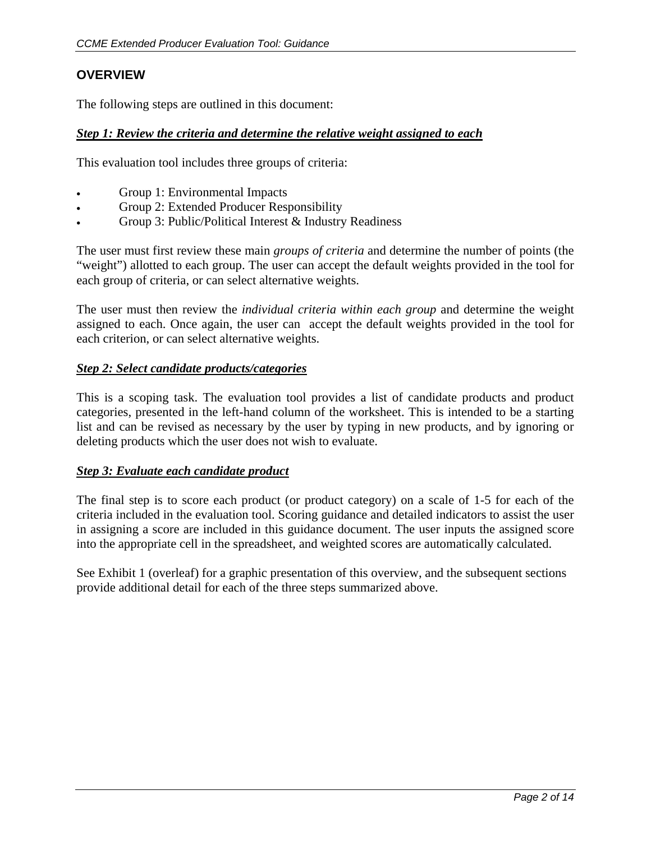## **OVERVIEW**

The following steps are outlined in this document:

### *Step 1: Review the criteria and determine the relative weight assigned to each*

This evaluation tool includes three groups of criteria:

- Group 1: Environmental Impacts
- Group 2: Extended Producer Responsibility
- Group 3: Public/Political Interest & Industry Readiness

The user must first review these main *groups of criteria* and determine the number of points (the "weight") allotted to each group. The user can accept the default weights provided in the tool for each group of criteria, or can select alternative weights.

The user must then review the *individual criteria within each group* and determine the weight assigned to each. Once again, the user can accept the default weights provided in the tool for each criterion, or can select alternative weights.

### *Step 2: Select candidate products/categories*

This is a scoping task. The evaluation tool provides a list of candidate products and product categories, presented in the left-hand column of the worksheet. This is intended to be a starting list and can be revised as necessary by the user by typing in new products, and by ignoring or deleting products which the user does not wish to evaluate.

#### *Step 3: Evaluate each candidate product*

The final step is to score each product (or product category) on a scale of 1-5 for each of the criteria included in the evaluation tool. Scoring guidance and detailed indicators to assist the user in assigning a score are included in this guidance document. The user inputs the assigned score into the appropriate cell in the spreadsheet, and weighted scores are automatically calculated.

See Exhibit 1 (overleaf) for a graphic presentation of this overview, and the subsequent sections provide additional detail for each of the three steps summarized above.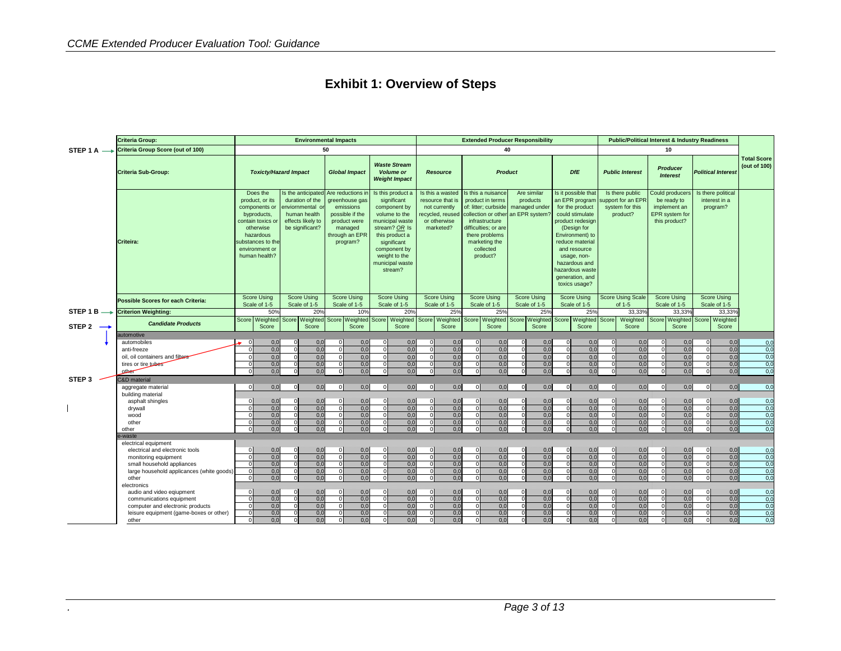|  | <b>Exhibit 1: Overview of Steps</b> |
|--|-------------------------------------|
|--|-------------------------------------|

|                        | <b>Criteria Group:</b>                                                                                                               |                                                                                                                                                                                                                                                                                                                        |                                 | <b>Environmental Impacts</b>                                             |                                                                                                                              |                                                                 |                                                                                                                                                                                                       |                                 |                                                                                                       |                                                                                                                                                                                             |                                                                          | <b>Extended Producer Responsibility</b>                                        |                                                                                               | <b>Public/Political Interest &amp; Industry Readiness</b> |                                                                                                                                |                                    |                                                                              |                                    |                                    |                                                                                                                                                                                                                                                             |
|------------------------|--------------------------------------------------------------------------------------------------------------------------------------|------------------------------------------------------------------------------------------------------------------------------------------------------------------------------------------------------------------------------------------------------------------------------------------------------------------------|---------------------------------|--------------------------------------------------------------------------|------------------------------------------------------------------------------------------------------------------------------|-----------------------------------------------------------------|-------------------------------------------------------------------------------------------------------------------------------------------------------------------------------------------------------|---------------------------------|-------------------------------------------------------------------------------------------------------|---------------------------------------------------------------------------------------------------------------------------------------------------------------------------------------------|--------------------------------------------------------------------------|--------------------------------------------------------------------------------|-----------------------------------------------------------------------------------------------|-----------------------------------------------------------|--------------------------------------------------------------------------------------------------------------------------------|------------------------------------|------------------------------------------------------------------------------|------------------------------------|------------------------------------|-------------------------------------------------------------------------------------------------------------------------------------------------------------------------------------------------------------------------------------------------------------|
| STEP 1 A $\rightarrow$ | Criteria Group Score (out of 100)                                                                                                    |                                                                                                                                                                                                                                                                                                                        |                                 |                                                                          | 50                                                                                                                           |                                                                 |                                                                                                                                                                                                       |                                 |                                                                                                       |                                                                                                                                                                                             | 40                                                                       |                                                                                |                                                                                               |                                                           | 10                                                                                                                             |                                    |                                                                              |                                    |                                    |                                                                                                                                                                                                                                                             |
|                        | <b>Criteria Sub-Group:</b>                                                                                                           | <b>Toxicty/Hazard Impact</b><br>Does the<br>Is the anticipated<br>duration of the<br>product, or its<br>components or<br>enviornmental o<br>byproducts,<br>human health<br>effects likely to<br>contain toxics or<br>be significant?<br>otherwise<br>hazardous<br>substances to the<br>environment or<br>human health? |                                 | <b>Global Impact</b>                                                     |                                                                                                                              | <b>Waste Stream</b><br><b>Volume or</b><br><b>Weight Impact</b> |                                                                                                                                                                                                       | Resource                        |                                                                                                       | <b>Product</b>                                                                                                                                                                              |                                                                          | <b>DfE</b>                                                                     | <b>Public Interest</b><br>Is there public<br>upport for an EPF<br>system for this<br>product? |                                                           | <b>Producer</b><br><b>Interest</b><br>Could producers<br>be ready to<br>implement an<br><b>EPR</b> system for<br>this product? |                                    | <b>Political Interest</b><br>Is there political<br>interest in a<br>program? |                                    | <b>Total Score</b><br>(out of 100) |                                                                                                                                                                                                                                                             |
|                        | Criteira:                                                                                                                            |                                                                                                                                                                                                                                                                                                                        |                                 |                                                                          | Are reductions in<br>greenhouse gas<br>emissions<br>possible if the<br>product were<br>managed<br>through an EPR<br>program? |                                                                 | Is this product a<br>significant<br>component by<br>volume to the<br>municipal waste<br>stream? OR Is<br>this product a<br>significant<br>component by<br>weight to the<br>municipal waste<br>stream? |                                 | Is this a wasted<br>resource that is<br>not currently<br>ecycled, reused<br>or otherwise<br>marketed? | Is this a nuisance<br>product in terms<br>of: litter; curbside<br>collection or other<br>infrastructure<br>difficulties; or are<br>there problems<br>marketing the<br>collected<br>product? |                                                                          | Are similar<br>products<br>managed under<br>an EPR system?                     |                                                                                               |                                                           |                                                                                                                                |                                    |                                                                              |                                    |                                    | Is it possible that<br>an EPR program<br>for the product<br>could stimulate<br>product redesign<br>(Design for<br>Environment) to<br>reduce material<br>and resource<br>usage, non-<br>hazardous and<br>nazardous waste<br>generation, and<br>toxics usage? |
|                        | <b>Possible Scores for each Criteria:</b>                                                                                            | <b>Score Using</b><br>Scale of 1-5                                                                                                                                                                                                                                                                                     |                                 | <b>Score Using</b><br>Scale of 1-5                                       | <b>Score Using</b><br>Scale of 1-5                                                                                           |                                                                 | <b>Score Using</b><br>Scale of 1-5                                                                                                                                                                    |                                 | <b>Score Using</b><br>Scale of 1-5                                                                    | <b>Score Using</b><br>Scale of 1-5                                                                                                                                                          |                                                                          | <b>Score Using</b><br>Scale of 1-5                                             | <b>Score Using</b><br>Scale of 1-5                                                            | <b>Score Using Scale</b><br>of 1-5                        |                                                                                                                                | <b>Score Using</b><br>Scale of 1-5 |                                                                              | <b>Score Using</b><br>Scale of 1-5 |                                    |                                                                                                                                                                                                                                                             |
| STEP 1 B $\rightarrow$ | <b>Criterion Weighting:</b>                                                                                                          |                                                                                                                                                                                                                                                                                                                        | 50%                             | 20 <sup>o</sup>                                                          |                                                                                                                              | 10%                                                             |                                                                                                                                                                                                       | 20%                             | 25%                                                                                                   |                                                                                                                                                                                             | 25%                                                                      | 25%                                                                            | 25%                                                                                           |                                                           | 33,33%                                                                                                                         |                                    | 33,33%                                                                       |                                    | 33,33%                             |                                                                                                                                                                                                                                                             |
| STEP 2 $\rightarrow$   | <b>Candidate Products</b>                                                                                                            |                                                                                                                                                                                                                                                                                                                        | Score Weighted<br>Score         | Score Weighted<br>Score                                                  | Score                                                                                                                        | Weighted<br>Score                                               | Score Weighted<br>Score                                                                                                                                                                               |                                 | Score                                                                                                 |                                                                                                                                                                                             | Score                                                                    | Score Weighted Score Weighted Score Weighted<br>Score                          | Score<br>Weighted<br>Score                                                                    | Score                                                     | Weighted<br>Score                                                                                                              | Score                              | <b>Neighted</b><br>Score                                                     |                                    | Score Weighted<br>Score            |                                                                                                                                                                                                                                                             |
|                        | automotive                                                                                                                           |                                                                                                                                                                                                                                                                                                                        |                                 |                                                                          |                                                                                                                              |                                                                 |                                                                                                                                                                                                       |                                 |                                                                                                       |                                                                                                                                                                                             |                                                                          |                                                                                |                                                                                               |                                                           |                                                                                                                                |                                    |                                                                              |                                    |                                    |                                                                                                                                                                                                                                                             |
|                        | automobiles<br>anti-freeze<br>oil, oil containers and filters<br>tires or tire tubes<br>other                                        |                                                                                                                                                                                                                                                                                                                        | 0,0<br>0,0<br>0.0<br>0,0<br>0,0 | 0,0<br>$\Omega$<br>0,0<br>0.0<br>$\Omega$<br>0,0<br>0,0<br>$\Omega$      |                                                                                                                              | 0.0<br>0,0<br>0.0<br>0.0<br>0,0                                 | $\Omega$                                                                                                                                                                                              | 0.0<br>0,0<br>0.0<br>0,0<br>0,0 | $\overline{0}$<br>0.0<br>0.0<br>0.0<br>0.0<br>0,0                                                     |                                                                                                                                                                                             | 0,0<br>$\Omega$<br>0,0<br>0.0<br>0,0<br>0,0                              | $\Omega$<br>0.0<br>0.0<br>0.0<br>0,0<br>0,0                                    | 0.0<br>$\Omega$<br>0,0<br>0.0<br>0,0<br>0,0                                                   | $\Omega$                                                  | 0,0<br>0,0<br>0.0<br>0,0<br>0,0                                                                                                | $\Omega$                           | 0.0<br>0,0<br>0.0<br>0.0<br>0,0                                              | $\Omega$                           | 0.0<br>0,0<br>0.0<br>0,0<br>0,0    | 0,0<br>0,0<br>0,0<br>0,0<br>0,0                                                                                                                                                                                                                             |
| STEP 3                 | C&D material                                                                                                                         |                                                                                                                                                                                                                                                                                                                        |                                 |                                                                          |                                                                                                                              |                                                                 |                                                                                                                                                                                                       |                                 |                                                                                                       |                                                                                                                                                                                             |                                                                          |                                                                                |                                                                                               |                                                           |                                                                                                                                |                                    |                                                                              |                                    |                                    |                                                                                                                                                                                                                                                             |
|                        | aggregate material<br>building material<br>asphalt shingles<br>drywall                                                               | $\Omega$                                                                                                                                                                                                                                                                                                               | 0,0<br>0,0<br>0,0               | 0,0<br>$\overline{0}$<br>0,0<br>$\Omega$<br>$\overline{0}$<br>0,0        | $\Omega$                                                                                                                     | 0,0<br>0,0<br>0,0                                               | $\overline{0}$<br>$\Omega$<br>$\Omega$                                                                                                                                                                | 0,0<br>0,0<br>0,0               | 0,0<br>$\Omega$<br>0,0<br>0.0<br>$\Omega$                                                             |                                                                                                                                                                                             | 0,0<br>$\Omega$<br>0,0<br>$\Omega$<br>0,0<br>$\Omega$                    | οl<br>0,0<br>$\Omega$<br>0,0<br>0,0<br>$\Omega$                                | 0,0<br>$\Omega$<br>0,0<br>0,0                                                                 | $\Omega$                                                  | 0,0<br>0,0<br>0,0                                                                                                              | $\Omega$                           | 0,0<br>0,0<br>0,0                                                            | $\Omega$<br>$\Omega$               | 0,0<br>0,0<br>0,0                  | 0,0<br>0,0<br>0,0                                                                                                                                                                                                                                           |
|                        | wood<br>other<br>other                                                                                                               | $\Omega$                                                                                                                                                                                                                                                                                                               | 0,0<br>0,0<br>0.0               | 0,0<br>$\Omega$<br>0,0<br>$\Omega$<br>0.0                                |                                                                                                                              | 0,0<br>0,0<br>0.0                                               | $\Omega$                                                                                                                                                                                              | 0,0<br>0,0<br>0.0               | 0,0<br>$\Omega$<br>0,0<br>0.0                                                                         |                                                                                                                                                                                             | 0,0<br>$\Omega$<br>0,0<br>0.0                                            | 0,0<br>$\Omega$<br>0,0<br>0.0                                                  | 0,0<br>$\Omega$<br>0,0<br>0.0                                                                 | $\Omega$                                                  | 0,0<br>0,0<br>0.0                                                                                                              |                                    | 0,0<br>0,0<br>0.0                                                            | $\Omega$                           | 0,0<br>0,0<br>0.0                  | 0,0<br>0,0<br>0,0                                                                                                                                                                                                                                           |
|                        | e-waste<br>electrical equipment<br>electrical and electronic tools<br>monitoring equipment                                           | $\Omega$<br>$\Omega$                                                                                                                                                                                                                                                                                                   | 0,0<br>0,0                      | 0,0<br>$\Omega$<br>0,0<br>-01                                            | $\Omega$                                                                                                                     | 0.0<br>0,0                                                      | $\Omega$<br>$\Omega$                                                                                                                                                                                  | 0,0<br>0,0                      | $\overline{0}$<br>0,0<br>0,0<br>$\Omega$                                                              |                                                                                                                                                                                             | 0,0<br>$\Omega$<br>0,0<br>$\Omega$                                       | $\Omega$<br>0,0<br>0,0<br>$\overline{0}$                                       | 0.0<br>$\Omega$<br>0,0<br>$\Omega$                                                            | $\Omega$<br>$\mathbf{O}$                                  | 0.0<br>0,0                                                                                                                     |                                    | 0,0<br>0,0                                                                   | $\Omega$<br>$\Omega$               | 0,0<br>0,0                         | 0,0<br>0,0                                                                                                                                                                                                                                                  |
|                        | small household appliances<br>large household applicances (white goods)<br>other<br>electronics                                      |                                                                                                                                                                                                                                                                                                                        | 0,0<br>0,0<br>0,0               | 0.0<br>$\Omega$<br>0,0<br>$\Omega$<br>0.0<br>$\Omega$                    |                                                                                                                              | 0.0<br>0,0<br>0.0                                               | $\Omega$<br>$\Omega$<br>$\Omega$                                                                                                                                                                      | 0.0<br>0,0<br>0,0               | 0.0<br>$\Omega$<br>0,0<br>$\Omega$<br>0.0<br>$\Omega$                                                 |                                                                                                                                                                                             | 0,0<br>$\Omega$<br>0,0<br>$\Omega$<br>0,0<br>$\Omega$                    | 0.0<br>$\Omega$<br>0,0<br>$\Omega$<br>0,0<br>$\Omega$                          | 0,0<br>0,0<br>0.0                                                                             |                                                           | 0,0<br>0,0<br>0.0                                                                                                              |                                    | 0,0<br>0,0<br>0.0                                                            |                                    | 0,0<br>0,0<br>0.0                  | 0,0<br>0,0<br>0,0                                                                                                                                                                                                                                           |
|                        | audio and video eqiupment<br>communications equipment<br>computer and electronic products<br>leisure equipment (game-boxes or other) |                                                                                                                                                                                                                                                                                                                        | 0,0<br>0,0<br>0,0<br>0,0        | $\Omega$<br>0,0<br>0,0<br>$\Omega$<br>0,0<br>$\Omega$<br>0,0<br>$\Omega$ |                                                                                                                              | 0,0<br>0,0<br>0,0<br>0,0                                        | $\Omega$<br>$\Omega$<br>$\Omega$                                                                                                                                                                      | 0,0<br>0,0<br>0,0<br>0,0        | $\Omega$<br>0,0<br>0,0<br>$\Omega$<br>0,0<br>$\Omega$<br>0,0                                          |                                                                                                                                                                                             | 0,0<br>$\Omega$<br>0,0<br>$\Omega$<br>0,0<br>$\Omega$<br>0,0<br>$\Omega$ | $\Omega$<br>0,0<br>0,0<br>$\Omega$<br>0,0<br>$\overline{0}$<br>0,0<br>$\Omega$ | 0,0<br>0,0<br>0,0<br>$\Omega$<br>0,0                                                          | $\Omega$<br>$\Omega$                                      | 0,0<br>0,0<br>0,0<br>0,0                                                                                                       |                                    | 0,0<br>0,0<br>0,0<br>0,0                                                     | $\Omega$<br>$\Omega$               | 0,0<br>0,0<br>0,0<br>0,0           | 0,0<br>0,0<br>0,0<br>0,0                                                                                                                                                                                                                                    |
|                        | other                                                                                                                                |                                                                                                                                                                                                                                                                                                                        | 0.0                             | 0.0                                                                      |                                                                                                                              | 0.0                                                             |                                                                                                                                                                                                       | 0.0                             | 0.0                                                                                                   |                                                                                                                                                                                             | 0.0                                                                      | 0.0                                                                            | 0.0                                                                                           |                                                           | 0.0                                                                                                                            |                                    | 0.0                                                                          |                                    | 0.0                                | 0.0                                                                                                                                                                                                                                                         |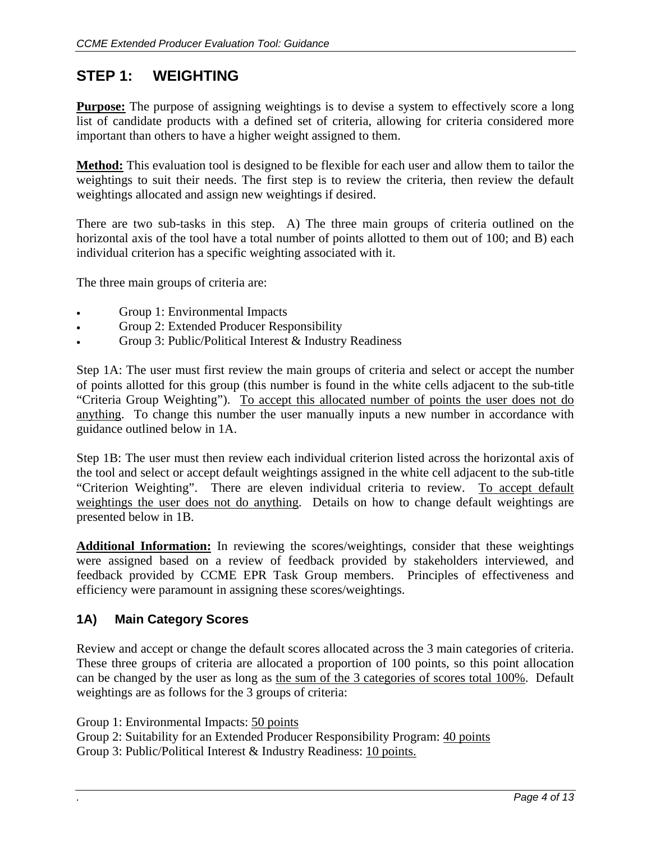# **STEP 1: WEIGHTING**

**Purpose:** The purpose of assigning weightings is to devise a system to effectively score a long list of candidate products with a defined set of criteria, allowing for criteria considered more important than others to have a higher weight assigned to them.

**Method:** This evaluation tool is designed to be flexible for each user and allow them to tailor the weightings to suit their needs. The first step is to review the criteria, then review the default weightings allocated and assign new weightings if desired.

There are two sub-tasks in this step. A) The three main groups of criteria outlined on the horizontal axis of the tool have a total number of points allotted to them out of 100; and B) each individual criterion has a specific weighting associated with it.

The three main groups of criteria are:

- Group 1: Environmental Impacts
- Group 2: Extended Producer Responsibility
- Group 3: Public/Political Interest & Industry Readiness

Step 1A: The user must first review the main groups of criteria and select or accept the number of points allotted for this group (this number is found in the white cells adjacent to the sub-title "Criteria Group Weighting"). To accept this allocated number of points the user does not do anything. To change this number the user manually inputs a new number in accordance with guidance outlined below in 1A.

Step 1B: The user must then review each individual criterion listed across the horizontal axis of the tool and select or accept default weightings assigned in the white cell adjacent to the sub-title "Criterion Weighting". There are eleven individual criteria to review. To accept default weightings the user does not do anything. Details on how to change default weightings are presented below in 1B.

**Additional Information:** In reviewing the scores/weightings, consider that these weightings were assigned based on a review of feedback provided by stakeholders interviewed, and feedback provided by CCME EPR Task Group members. Principles of effectiveness and efficiency were paramount in assigning these scores/weightings.

### **1A) Main Category Scores**

Review and accept or change the default scores allocated across the 3 main categories of criteria. These three groups of criteria are allocated a proportion of 100 points, so this point allocation can be changed by the user as long as the sum of the 3 categories of scores total 100%. Default weightings are as follows for the 3 groups of criteria:

Group 1: Environmental Impacts: 50 points

Group 2: Suitability for an Extended Producer Responsibility Program: 40 points Group 3: Public/Political Interest & Industry Readiness: 10 points.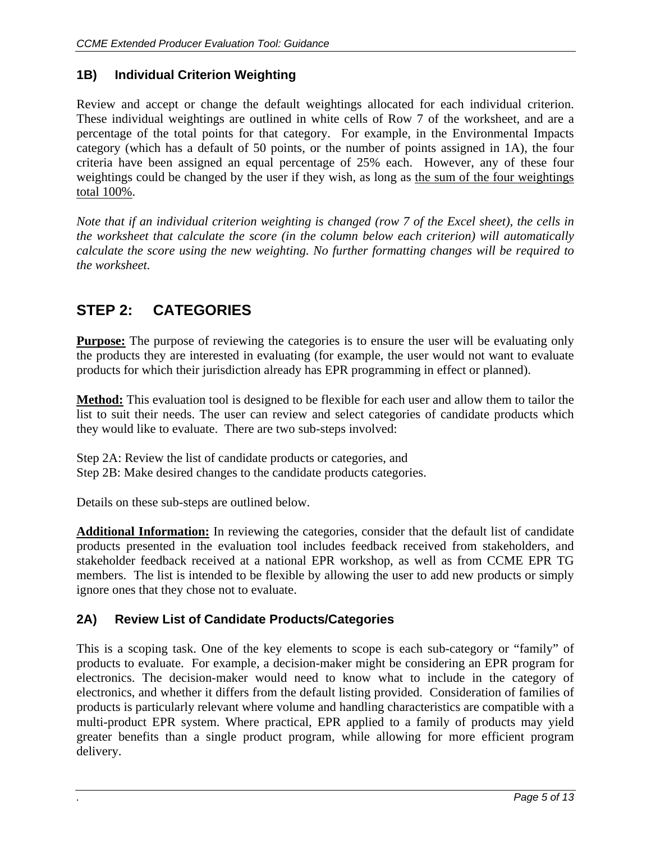# **1B) Individual Criterion Weighting**

Review and accept or change the default weightings allocated for each individual criterion. These individual weightings are outlined in white cells of Row 7 of the worksheet, and are a percentage of the total points for that category. For example, in the Environmental Impacts category (which has a default of 50 points, or the number of points assigned in 1A), the four criteria have been assigned an equal percentage of 25% each. However, any of these four weightings could be changed by the user if they wish, as long as the sum of the four weightings total 100%.

*Note that if an individual criterion weighting is changed (row 7 of the Excel sheet), the cells in the worksheet that calculate the score (in the column below each criterion) will automatically calculate the score using the new weighting. No further formatting changes will be required to the worksheet.* 

# **STEP 2: CATEGORIES**

**Purpose:** The purpose of reviewing the categories is to ensure the user will be evaluating only the products they are interested in evaluating (for example, the user would not want to evaluate products for which their jurisdiction already has EPR programming in effect or planned).

**Method:** This evaluation tool is designed to be flexible for each user and allow them to tailor the list to suit their needs. The user can review and select categories of candidate products which they would like to evaluate. There are two sub-steps involved:

Step 2A: Review the list of candidate products or categories, and Step 2B: Make desired changes to the candidate products categories.

Details on these sub-steps are outlined below.

**Additional Information:** In reviewing the categories, consider that the default list of candidate products presented in the evaluation tool includes feedback received from stakeholders, and stakeholder feedback received at a national EPR workshop, as well as from CCME EPR TG members. The list is intended to be flexible by allowing the user to add new products or simply ignore ones that they chose not to evaluate.

# **2A) Review List of Candidate Products/Categories**

This is a scoping task. One of the key elements to scope is each sub-category or "family" of products to evaluate. For example, a decision-maker might be considering an EPR program for electronics. The decision-maker would need to know what to include in the category of electronics, and whether it differs from the default listing provided. Consideration of families of products is particularly relevant where volume and handling characteristics are compatible with a multi-product EPR system. Where practical, EPR applied to a family of products may yield greater benefits than a single product program, while allowing for more efficient program delivery.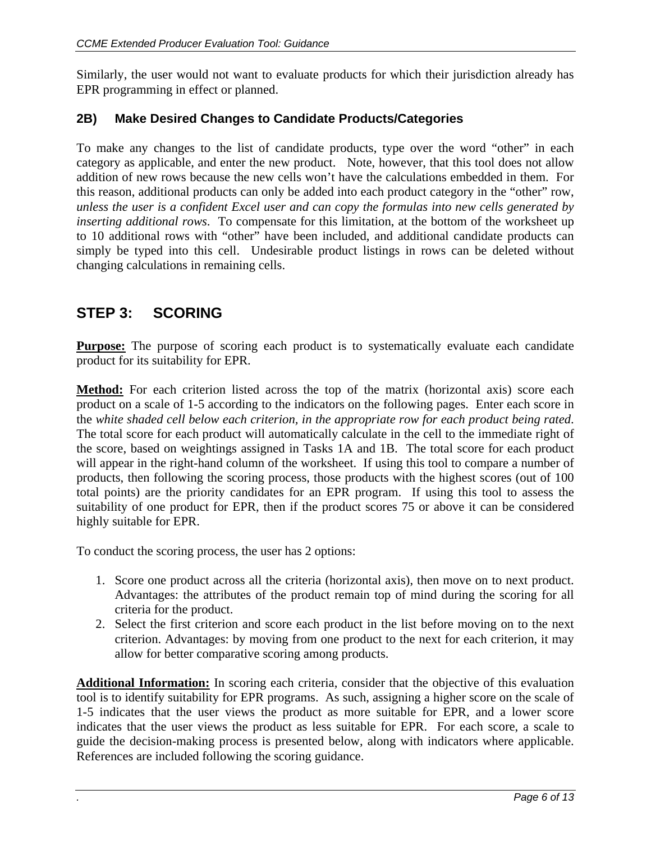Similarly, the user would not want to evaluate products for which their jurisdiction already has EPR programming in effect or planned.

## **2B) Make Desired Changes to Candidate Products/Categories**

To make any changes to the list of candidate products, type over the word "other" in each category as applicable, and enter the new product. Note, however, that this tool does not allow addition of new rows because the new cells won't have the calculations embedded in them. For this reason, additional products can only be added into each product category in the "other" row, *unless the user is a confident Excel user and can copy the formulas into new cells generated by inserting additional rows*. To compensate for this limitation, at the bottom of the worksheet up to 10 additional rows with "other" have been included, and additional candidate products can simply be typed into this cell. Undesirable product listings in rows can be deleted without changing calculations in remaining cells.

# **STEP 3: SCORING**

**Purpose:** The purpose of scoring each product is to systematically evaluate each candidate product for its suitability for EPR.

**Method:** For each criterion listed across the top of the matrix (horizontal axis) score each product on a scale of 1-5 according to the indicators on the following pages. Enter each score in the *white shaded cell below each criterion, in the appropriate row for each product being rated*. The total score for each product will automatically calculate in the cell to the immediate right of the score, based on weightings assigned in Tasks 1A and 1B. The total score for each product will appear in the right-hand column of the worksheet. If using this tool to compare a number of products, then following the scoring process, those products with the highest scores (out of 100 total points) are the priority candidates for an EPR program. If using this tool to assess the suitability of one product for EPR, then if the product scores 75 or above it can be considered highly suitable for EPR.

To conduct the scoring process, the user has 2 options:

- 1. Score one product across all the criteria (horizontal axis), then move on to next product. Advantages: the attributes of the product remain top of mind during the scoring for all criteria for the product.
- 2. Select the first criterion and score each product in the list before moving on to the next criterion. Advantages: by moving from one product to the next for each criterion, it may allow for better comparative scoring among products.

**Additional Information:** In scoring each criteria, consider that the objective of this evaluation tool is to identify suitability for EPR programs. As such, assigning a higher score on the scale of 1-5 indicates that the user views the product as more suitable for EPR, and a lower score indicates that the user views the product as less suitable for EPR. For each score, a scale to guide the decision-making process is presented below, along with indicators where applicable. References are included following the scoring guidance.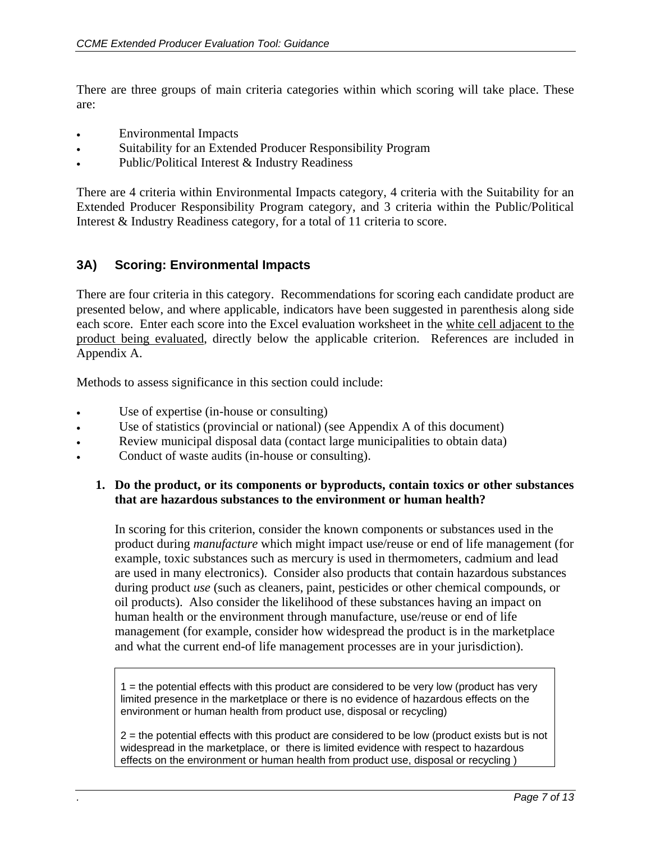There are three groups of main criteria categories within which scoring will take place. These are:

- Environmental Impacts
- Suitability for an Extended Producer Responsibility Program
- Public/Political Interest & Industry Readiness

There are 4 criteria within Environmental Impacts category, 4 criteria with the Suitability for an Extended Producer Responsibility Program category, and 3 criteria within the Public/Political Interest & Industry Readiness category, for a total of 11 criteria to score.

## **3A) Scoring: Environmental Impacts**

There are four criteria in this category. Recommendations for scoring each candidate product are presented below, and where applicable, indicators have been suggested in parenthesis along side each score. Enter each score into the Excel evaluation worksheet in the white cell adjacent to the product being evaluated, directly below the applicable criterion. References are included in Appendix A.

Methods to assess significance in this section could include:

- Use of expertise (in-house or consulting)
- Use of statistics (provincial or national) (see Appendix A of this document)
- Review municipal disposal data (contact large municipalities to obtain data)
- Conduct of waste audits (in-house or consulting).

### **1. Do the product, or its components or byproducts, contain toxics or other substances that are hazardous substances to the environment or human health?**

In scoring for this criterion, consider the known components or substances used in the product during *manufacture* which might impact use/reuse or end of life management (for example, toxic substances such as mercury is used in thermometers, cadmium and lead are used in many electronics). Consider also products that contain hazardous substances during product *use* (such as cleaners, paint, pesticides or other chemical compounds, or oil products). Also consider the likelihood of these substances having an impact on human health or the environment through manufacture, use/reuse or end of life management (for example, consider how widespread the product is in the marketplace and what the current end-of life management processes are in your jurisdiction).

 $1$  = the potential effects with this product are considered to be very low (product has very limited presence in the marketplace or there is no evidence of hazardous effects on the environment or human health from product use, disposal or recycling)

 $2$  = the potential effects with this product are considered to be low (product exists but is not widespread in the marketplace, or there is limited evidence with respect to hazardous effects on the environment or human health from product use, disposal or recycling )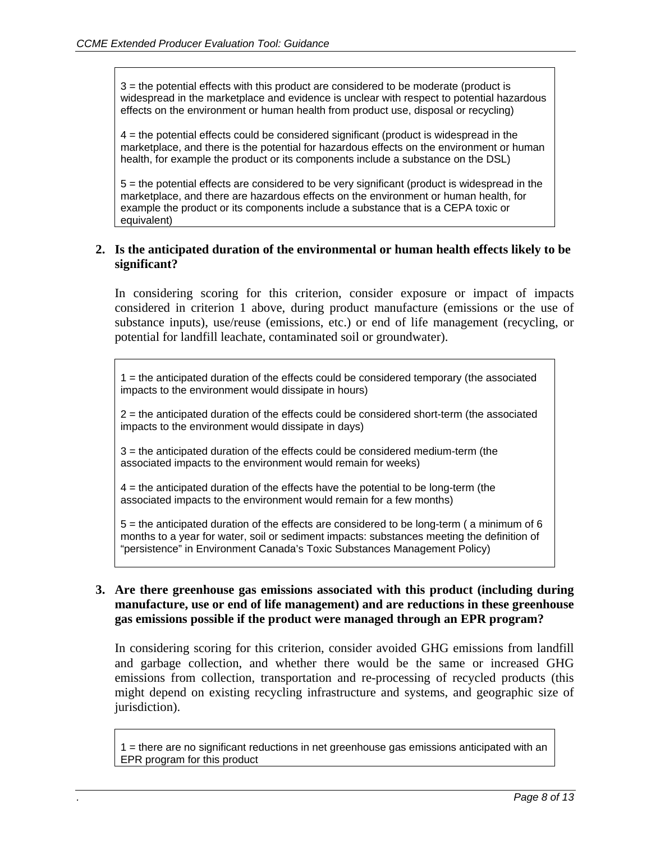3 = the potential effects with this product are considered to be moderate (product is widespread in the marketplace and evidence is unclear with respect to potential hazardous effects on the environment or human health from product use, disposal or recycling)

4 = the potential effects could be considered significant (product is widespread in the marketplace, and there is the potential for hazardous effects on the environment or human health, for example the product or its components include a substance on the DSL)

5 = the potential effects are considered to be very significant (product is widespread in the marketplace, and there are hazardous effects on the environment or human health, for example the product or its components include a substance that is a CEPA toxic or equivalent)

### **2. Is the anticipated duration of the environmental or human health effects likely to be significant?**

In considering scoring for this criterion, consider exposure or impact of impacts considered in criterion 1 above, during product manufacture (emissions or the use of substance inputs), use/reuse (emissions, etc.) or end of life management (recycling, or potential for landfill leachate, contaminated soil or groundwater).

1 = the anticipated duration of the effects could be considered temporary (the associated impacts to the environment would dissipate in hours)

2 = the anticipated duration of the effects could be considered short-term (the associated impacts to the environment would dissipate in days)

3 = the anticipated duration of the effects could be considered medium-term (the associated impacts to the environment would remain for weeks)

4 = the anticipated duration of the effects have the potential to be long-term (the associated impacts to the environment would remain for a few months)

5 = the anticipated duration of the effects are considered to be long-term ( a minimum of 6 months to a year for water, soil or sediment impacts: substances meeting the definition of "persistence" in Environment Canada's Toxic Substances Management Policy)

### **3. Are there greenhouse gas emissions associated with this product (including during manufacture, use or end of life management) and are reductions in these greenhouse gas emissions possible if the product were managed through an EPR program?**

In considering scoring for this criterion, consider avoided GHG emissions from landfill and garbage collection, and whether there would be the same or increased GHG emissions from collection, transportation and re-processing of recycled products (this might depend on existing recycling infrastructure and systems, and geographic size of jurisdiction).

1 = there are no significant reductions in net greenhouse gas emissions anticipated with an EPR program for this product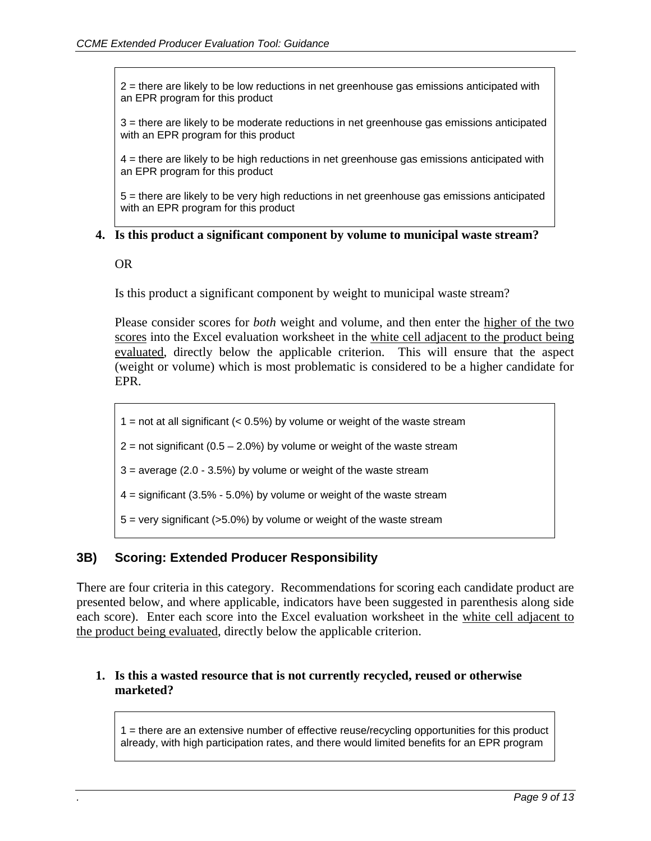2 = there are likely to be low reductions in net greenhouse gas emissions anticipated with an EPR program for this product

3 = there are likely to be moderate reductions in net greenhouse gas emissions anticipated with an EPR program for this product

4 = there are likely to be high reductions in net greenhouse gas emissions anticipated with an EPR program for this product

5 = there are likely to be very high reductions in net greenhouse gas emissions anticipated with an EPR program for this product

### **4. Is this product a significant component by volume to municipal waste stream?**

OR

Is this product a significant component by weight to municipal waste stream?

Please consider scores for *both* weight and volume, and then enter the higher of the two scores into the Excel evaluation worksheet in the white cell adjacent to the product being evaluated, directly below the applicable criterion. This will ensure that the aspect (weight or volume) which is most problematic is considered to be a higher candidate for EPR.

1 = not at all significant  $(< 0.5\%)$  by volume or weight of the waste stream

 $2$  = not significant (0.5 – 2.0%) by volume or weight of the waste stream

 $3 =$  average (2.0 - 3.5%) by volume or weight of the waste stream

 $4 =$  significant (3.5% - 5.0%) by volume or weight of the waste stream

 $5 =$  very significant ( $>5.0\%$ ) by volume or weight of the waste stream

### **3B) Scoring: Extended Producer Responsibility**

There are four criteria in this category. Recommendations for scoring each candidate product are presented below, and where applicable, indicators have been suggested in parenthesis along side each score). Enter each score into the Excel evaluation worksheet in the white cell adjacent to the product being evaluated, directly below the applicable criterion.

### **1. Is this a wasted resource that is not currently recycled, reused or otherwise marketed?**

1 = there are an extensive number of effective reuse/recycling opportunities for this product already, with high participation rates, and there would limited benefits for an EPR program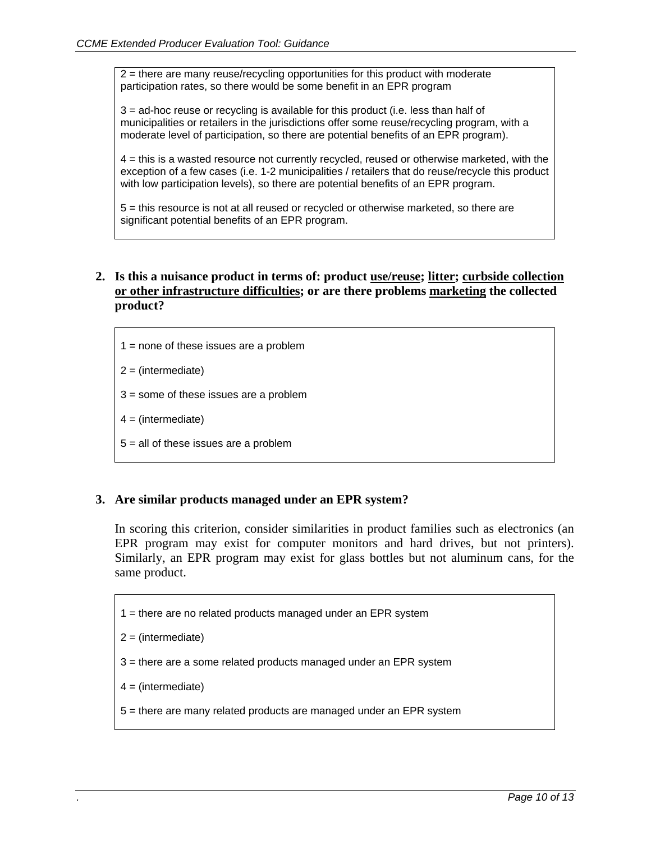2 = there are many reuse/recycling opportunities for this product with moderate participation rates, so there would be some benefit in an EPR program

3 = ad-hoc reuse or recycling is available for this product (i.e. less than half of municipalities or retailers in the jurisdictions offer some reuse/recycling program, with a moderate level of participation, so there are potential benefits of an EPR program).

4 = this is a wasted resource not currently recycled, reused or otherwise marketed, with the exception of a few cases (i.e. 1-2 municipalities / retailers that do reuse/recycle this product with low participation levels), so there are potential benefits of an EPR program.

5 = this resource is not at all reused or recycled or otherwise marketed, so there are significant potential benefits of an EPR program.

- **2. Is this a nuisance product in terms of: product use/reuse; litter; curbside collection or other infrastructure difficulties; or are there problems marketing the collected product?** 
	- $1 =$  none of these issues are a problem
	- $2 = (intermediate)$
	- 3 = some of these issues are a problem
	- $4 = (intermediate)$
	- 5 = all of these issues are a problem

### **3. Are similar products managed under an EPR system?**

In scoring this criterion, consider similarities in product families such as electronics (an EPR program may exist for computer monitors and hard drives, but not printers). Similarly, an EPR program may exist for glass bottles but not aluminum cans, for the same product.

- 1 = there are no related products managed under an EPR system
- $2 = (intermediate)$
- 3 = there are a some related products managed under an EPR system
- $4 = (intermediate)$
- 5 = there are many related products are managed under an EPR system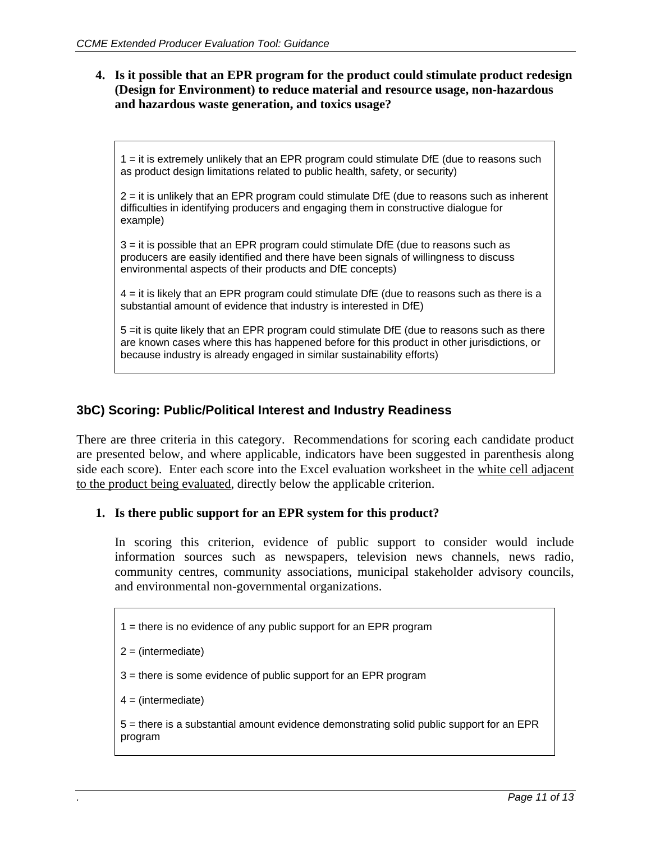### **4. Is it possible that an EPR program for the product could stimulate product redesign (Design for Environment) to reduce material and resource usage, non-hazardous and hazardous waste generation, and toxics usage?**

1 = it is extremely unlikely that an EPR program could stimulate DfE (due to reasons such as product design limitations related to public health, safety, or security)

2 = it is unlikely that an EPR program could stimulate DfE (due to reasons such as inherent difficulties in identifying producers and engaging them in constructive dialogue for example)

3 = it is possible that an EPR program could stimulate DfE (due to reasons such as producers are easily identified and there have been signals of willingness to discuss environmental aspects of their products and DfE concepts)

4 = it is likely that an EPR program could stimulate DfE (due to reasons such as there is a substantial amount of evidence that industry is interested in DfE)

5 =it is quite likely that an EPR program could stimulate DfE (due to reasons such as there are known cases where this has happened before for this product in other jurisdictions, or because industry is already engaged in similar sustainability efforts)

### **3bC) Scoring: Public/Political Interest and Industry Readiness**

There are three criteria in this category. Recommendations for scoring each candidate product are presented below, and where applicable, indicators have been suggested in parenthesis along side each score). Enter each score into the Excel evaluation worksheet in the white cell adjacent to the product being evaluated, directly below the applicable criterion.

### **1. Is there public support for an EPR system for this product?**

In scoring this criterion, evidence of public support to consider would include information sources such as newspapers, television news channels, news radio, community centres, community associations, municipal stakeholder advisory councils, and environmental non-governmental organizations.

- 1 = there is no evidence of any public support for an EPR program
- $2 = (intermediate)$
- 3 = there is some evidence of public support for an EPR program
- $4 = (intermediate)$

5 = there is a substantial amount evidence demonstrating solid public support for an EPR program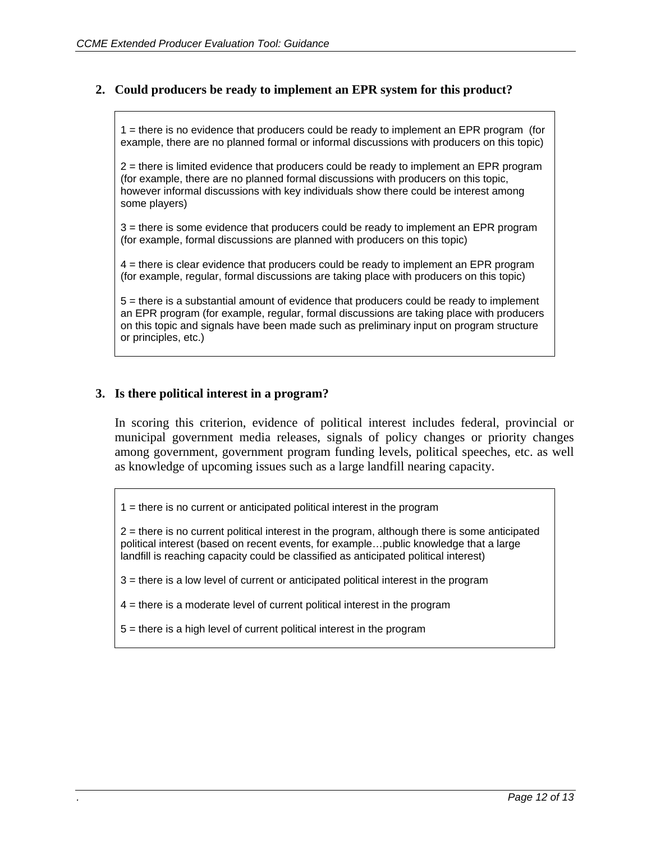### **2. Could producers be ready to implement an EPR system for this product?**

1 = there is no evidence that producers could be ready to implement an EPR program (for example, there are no planned formal or informal discussions with producers on this topic)

2 = there is limited evidence that producers could be ready to implement an EPR program (for example, there are no planned formal discussions with producers on this topic, however informal discussions with key individuals show there could be interest among some players)

3 = there is some evidence that producers could be ready to implement an EPR program (for example, formal discussions are planned with producers on this topic)

4 = there is clear evidence that producers could be ready to implement an EPR program (for example, regular, formal discussions are taking place with producers on this topic)

5 = there is a substantial amount of evidence that producers could be ready to implement an EPR program (for example, regular, formal discussions are taking place with producers on this topic and signals have been made such as preliminary input on program structure or principles, etc.)

### **3. Is there political interest in a program?**

In scoring this criterion, evidence of political interest includes federal, provincial or municipal government media releases, signals of policy changes or priority changes among government, government program funding levels, political speeches, etc. as well as knowledge of upcoming issues such as a large landfill nearing capacity.

 $1 =$  there is no current or anticipated political interest in the program

2 = there is no current political interest in the program, although there is some anticipated political interest (based on recent events, for example…public knowledge that a large landfill is reaching capacity could be classified as anticipated political interest)

3 = there is a low level of current or anticipated political interest in the program

4 = there is a moderate level of current political interest in the program

5 = there is a high level of current political interest in the program